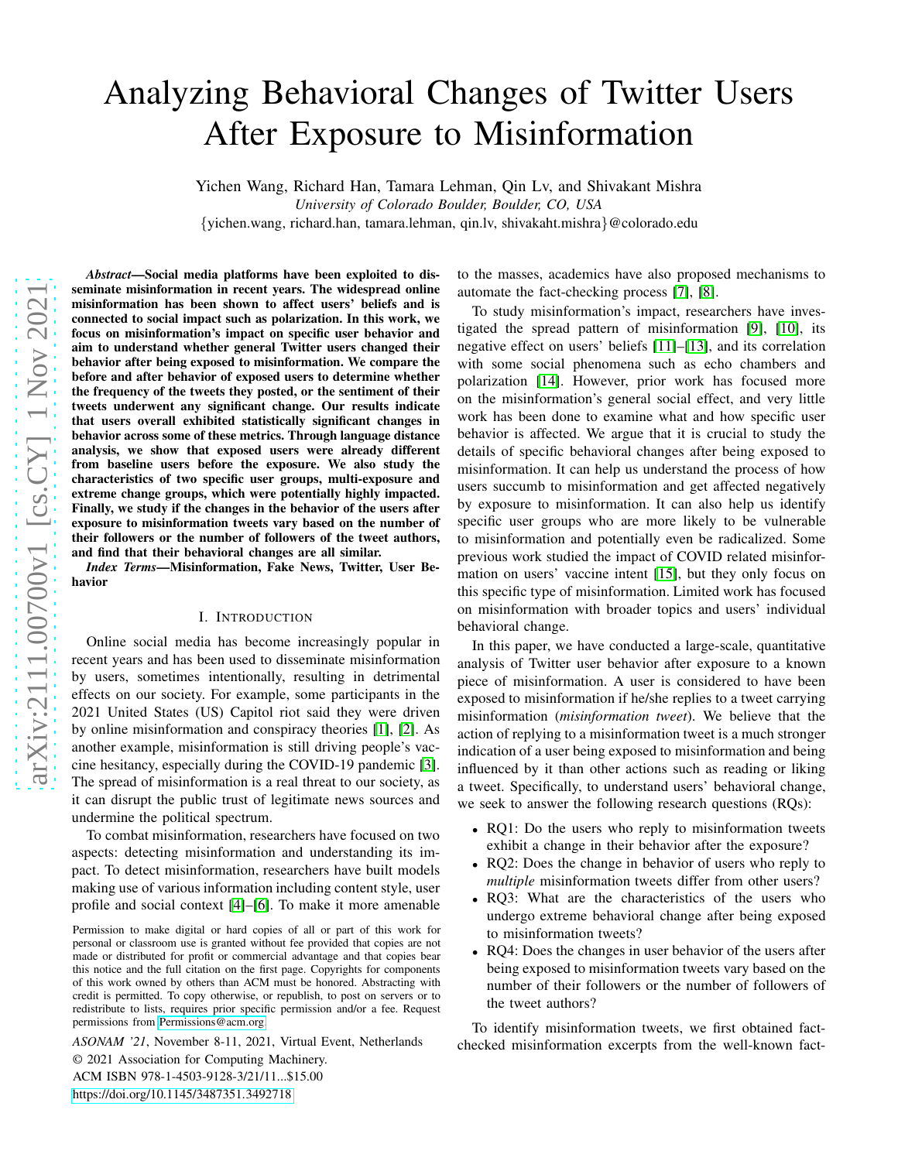# Analyzing Behavioral Changes of Twitter Users After Exposure to Misinformation

Yichen Wang, Richard Han, Tamara Lehman, Qin Lv, and Shivakant Mishra *University of Colorado Boulder, Boulder, CO, USA*

{yichen.wang, richard.han, tamara.lehman, qin.lv, shivakaht.mishra }@colorado.edu

*Abstract*—Social media platforms have been exploited to disseminate misinformation in recent years. The widespread online misinformation has been shown to affect users' beliefs and i s connected to social impact such as polarization. In this work, we focus on misinformation's impact on specific user behavior and aim to understand whether general Twitter users changed their behavior after being exposed to misinformation. We compare the before and after behavior of exposed users to determine whether the frequency of the tweets they posted, or the sentiment of their tweets underwent any significant change. Our results indicate that users overall exhibited statistically significant changes in behavior across some of these metrics. Through language distance analysis, we show that exposed users were already different from baseline users before the exposure. We also study the characteristics of two specific user groups, multi-exposure and extreme change groups, which were potentially highly impacted. Finally, we study if the changes in the behavior of the users after exposure to misinformation tweets vary based on the number o f their followers or the number of followers of the tweet authors, and find that their behavioral changes are all similar.

*Index Terms*—Misinformation, Fake News, Twitter, User Behavior

#### I. INTRODUCTION

Online social media has become increasingly popular in recent years and has been used to disseminate misinformatio n by users, sometimes intentionally, resulting in detrimental effects on our society. For example, some participants in th e 2021 United States (US) Capitol riot said they were driven by online misinformation and conspiracy theories [\[1\]](#page-7-0), [\[2\]](#page-7-1). As another example, misinformation is still driving people's vaccine hesitancy, especially during the COVID-19 pandemic [\[3\]](#page-7-2). The spread of misinformation is a real threat to our society, as it can disrupt the public trust of legitimate news sources an d undermine the political spectrum.

To combat misinformation, researchers have focused on two aspects: detecting misinformation and understanding its impact. To detect misinformation, researchers have built models making use of various information including content style, user profile and social context [\[4\]](#page-7-3)–[\[6\]](#page-7-4). To make it more amenable

*ASONAM '21*, November 8-11, 2021, Virtual Event, Netherlands © 2021 Association for Computing Machinery. ACM ISBN 978-1-4503-9128-3/21/11...\$15.00 <https://doi.org/10.1145/3487351.3492718>

to the masses, academics have also proposed mechanisms to automate the fact-checking process [\[7\]](#page-7-5), [\[8\]](#page-7-6).

To study misinformation's impact, researchers have investigated the spread pattern of misinformation [\[9\]](#page-7-7), [\[10\]](#page-7-8), its negative effect on users' beliefs [\[11\]](#page-7-9)–[\[13\]](#page-7-10), and its correlation with some social phenomena such as echo chambers and polarization [\[14\]](#page-7-11). However, prior work has focused more on the misinformation's general social effect, and very little work has been done to examine what and how specific user behavior is affected. We argue that it is crucial to study the details of specific behavioral changes after being exposed t o misinformation. It can help us understand the process of how users succumb to misinformation and get affected negativel y by exposure to misinformation. It can also help us identify specific user groups who are more likely to be vulnerable to misinformation and potentially even be radicalized. Som e previous work studied the impact of COVID related misinformation on users' vaccine intent [\[15\]](#page-7-12), but they only focus on this specific type of misinformation. Limited work has focused on misinformation with broader topics and users' individua l behavioral change.

In this paper, we have conducted a large-scale, quantitativ e analysis of Twitter user behavior after exposure to a known piece of misinformation. A user is considered to have been exposed to misinformation if he/she replies to a tweet carrying misinformation (*misinformation tweet*). We believe that the action of replying to a misinformation tweet is a much stronger indication of a user being exposed to misinformation and being influenced by it than other actions such as reading or liking a tweet. Specifically, to understand users' behavioral change, we seek to answer the following research questions (RQs):

- RQ1: Do the users who reply to misinformation tweets exhibit a change in their behavior after the exposure?
- RQ2: Does the change in behavior of users who reply to *multiple* misinformation tweets differ from other users?
- RQ3: What are the characteristics of the users who undergo extreme behavioral change after being exposed to misinformation tweets?
- RQ4: Does the changes in user behavior of the users after being exposed to misinformation tweets vary based on the number of their followers or the number of followers of the tweet authors?

To identify misinformation tweets, we first obtained factchecked misinformation excerpts from the well-known fact-

Permission to make digital or hard copies of all or part of this work for personal or classroom use is granted without fee provided that copies are not made or distributed for profit or commercial advantage and that copies bear this notice and the full citation on the first page. Copyrights for components of this work owned by others than ACM must be honored. Abstracting with credit is permitted. To copy otherwise, or republish, to post on servers or to redistribute to lists, requires prior specific permission and/or a fee. Request permissions from [Permissions@acm.org.](mailto:permissions@acm.org)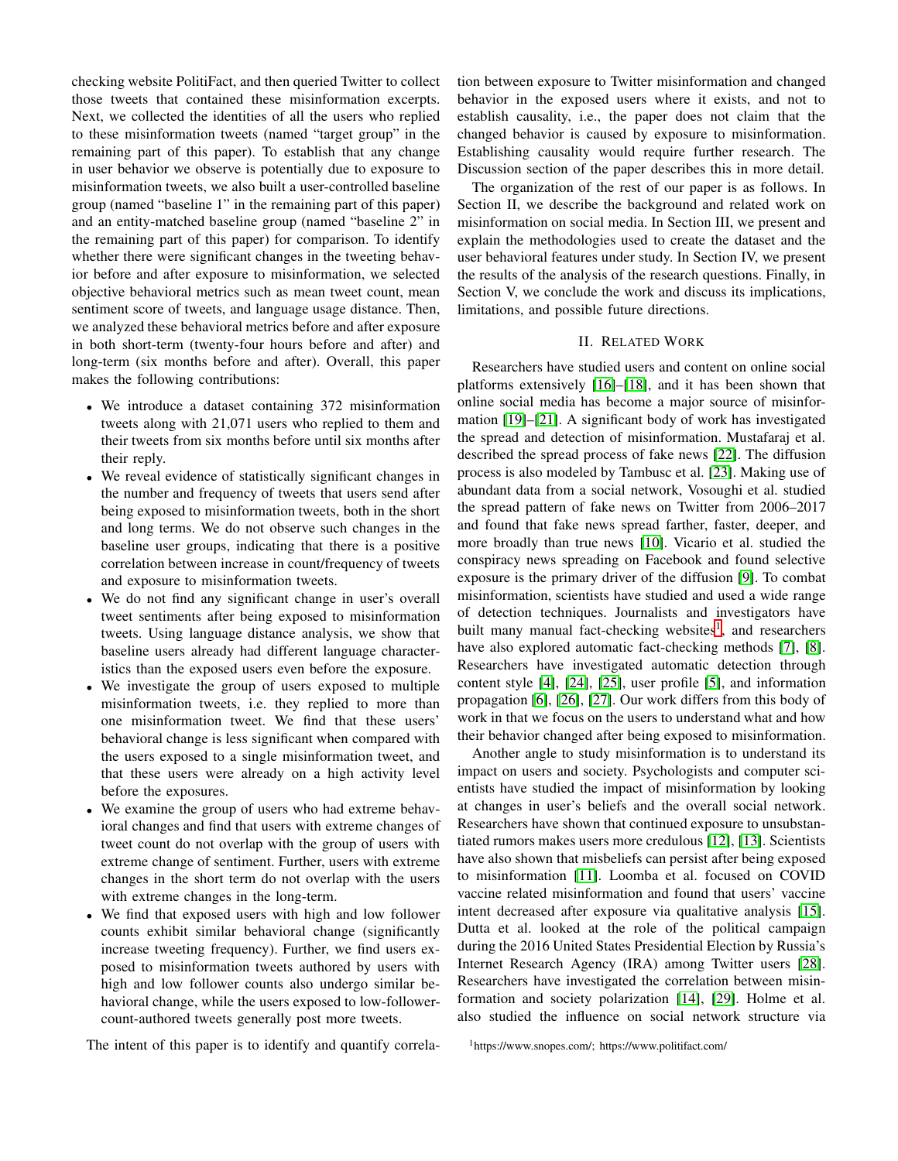checking website PolitiFact, and then queried Twitter to collect those tweets that contained these misinformation excerpts. Next, we collected the identities of all the users who replied to these misinformation tweets (named "target group" in the remaining part of this paper). To establish that any change in user behavior we observe is potentially due to exposure to misinformation tweets, we also built a user-controlled baseline group (named "baseline 1" in the remaining part of this paper) and an entity-matched baseline group (named "baseline 2" in the remaining part of this paper) for comparison. To identify whether there were significant changes in the tweeting behavior before and after exposure to misinformation, we selected objective behavioral metrics such as mean tweet count, mean sentiment score of tweets, and language usage distance. Then, we analyzed these behavioral metrics before and after exposure in both short-term (twenty-four hours before and after) and long-term (six months before and after). Overall, this paper makes the following contributions:

- We introduce a dataset containing 372 misinformation tweets along with 21,071 users who replied to them and their tweets from six months before until six months after their reply.
- We reveal evidence of statistically significant changes in the number and frequency of tweets that users send after being exposed to misinformation tweets, both in the short and long terms. We do not observe such changes in the baseline user groups, indicating that there is a positive correlation between increase in count/frequency of tweets and exposure to misinformation tweets.
- We do not find any significant change in user's overall tweet sentiments after being exposed to misinformation tweets. Using language distance analysis, we show that baseline users already had different language characteristics than the exposed users even before the exposure.
- We investigate the group of users exposed to multiple misinformation tweets, i.e. they replied to more than one misinformation tweet. We find that these users' behavioral change is less significant when compared with the users exposed to a single misinformation tweet, and that these users were already on a high activity level before the exposures.
- We examine the group of users who had extreme behavioral changes and find that users with extreme changes of tweet count do not overlap with the group of users with extreme change of sentiment. Further, users with extreme changes in the short term do not overlap with the users with extreme changes in the long-term.
- We find that exposed users with high and low follower counts exhibit similar behavioral change (significantly increase tweeting frequency). Further, we find users exposed to misinformation tweets authored by users with high and low follower counts also undergo similar behavioral change, while the users exposed to low-followercount-authored tweets generally post more tweets.

The intent of this paper is to identify and quantify correla-

tion between exposure to Twitter misinformation and changed behavior in the exposed users where it exists, and not to establish causality, i.e., the paper does not claim that the changed behavior is caused by exposure to misinformation. Establishing causality would require further research. The Discussion section of the paper describes this in more detail.

The organization of the rest of our paper is as follows. In Section II, we describe the background and related work on misinformation on social media. In Section III, we present and explain the methodologies used to create the dataset and the user behavioral features under study. In Section IV, we present the results of the analysis of the research questions. Finally, in Section V, we conclude the work and discuss its implications, limitations, and possible future directions.

### II. RELATED WORK

Researchers have studied users and content on online social platforms extensively [\[16\]](#page-7-13)–[\[18\]](#page-7-14), and it has been shown that online social media has become a major source of misinformation [\[19\]](#page-7-15)–[\[21\]](#page-7-16). A significant body of work has investigated the spread and detection of misinformation. Mustafaraj et al. described the spread process of fake news [\[22\]](#page-7-17). The diffusion process is also modeled by Tambusc et al. [\[23\]](#page-7-18). Making use of abundant data from a social network, Vosoughi et al. studied the spread pattern of fake news on Twitter from 2006–2017 and found that fake news spread farther, faster, deeper, and more broadly than true news [\[10\]](#page-7-8). Vicario et al. studied the conspiracy news spreading on Facebook and found selective exposure is the primary driver of the diffusion [\[9\]](#page-7-7). To combat misinformation, scientists have studied and used a wide range of detection techniques. Journalists and investigators have built many manual fact-checking websites<sup>[1](#page-1-0)</sup>, and researchers have also explored automatic fact-checking methods [\[7\]](#page-7-5), [\[8\]](#page-7-6). Researchers have investigated automatic detection through content style [\[4\]](#page-7-3), [\[24\]](#page-7-19), [\[25\]](#page-7-20), user profile [\[5\]](#page-7-21), and information propagation [\[6\]](#page-7-4), [\[26\]](#page-7-22), [\[27\]](#page-7-23). Our work differs from this body of work in that we focus on the users to understand what and how their behavior changed after being exposed to misinformation.

Another angle to study misinformation is to understand its impact on users and society. Psychologists and computer scientists have studied the impact of misinformation by looking at changes in user's beliefs and the overall social network. Researchers have shown that continued exposure to unsubstantiated rumors makes users more credulous [\[12\]](#page-7-24), [\[13\]](#page-7-10). Scientists have also shown that misbeliefs can persist after being exposed to misinformation [\[11\]](#page-7-9). Loomba et al. focused on COVID vaccine related misinformation and found that users' vaccine intent decreased after exposure via qualitative analysis [\[15\]](#page-7-12). Dutta et al. looked at the role of the political campaign during the 2016 United States Presidential Election by Russia's Internet Research Agency (IRA) among Twitter users [\[28\]](#page-7-25). Researchers have investigated the correlation between misinformation and society polarization [\[14\]](#page-7-11), [\[29\]](#page-7-26). Holme et al. also studied the influence on social network structure via

<span id="page-1-0"></span><sup>1</sup>https://www.snopes.com/; https://www.politifact.com/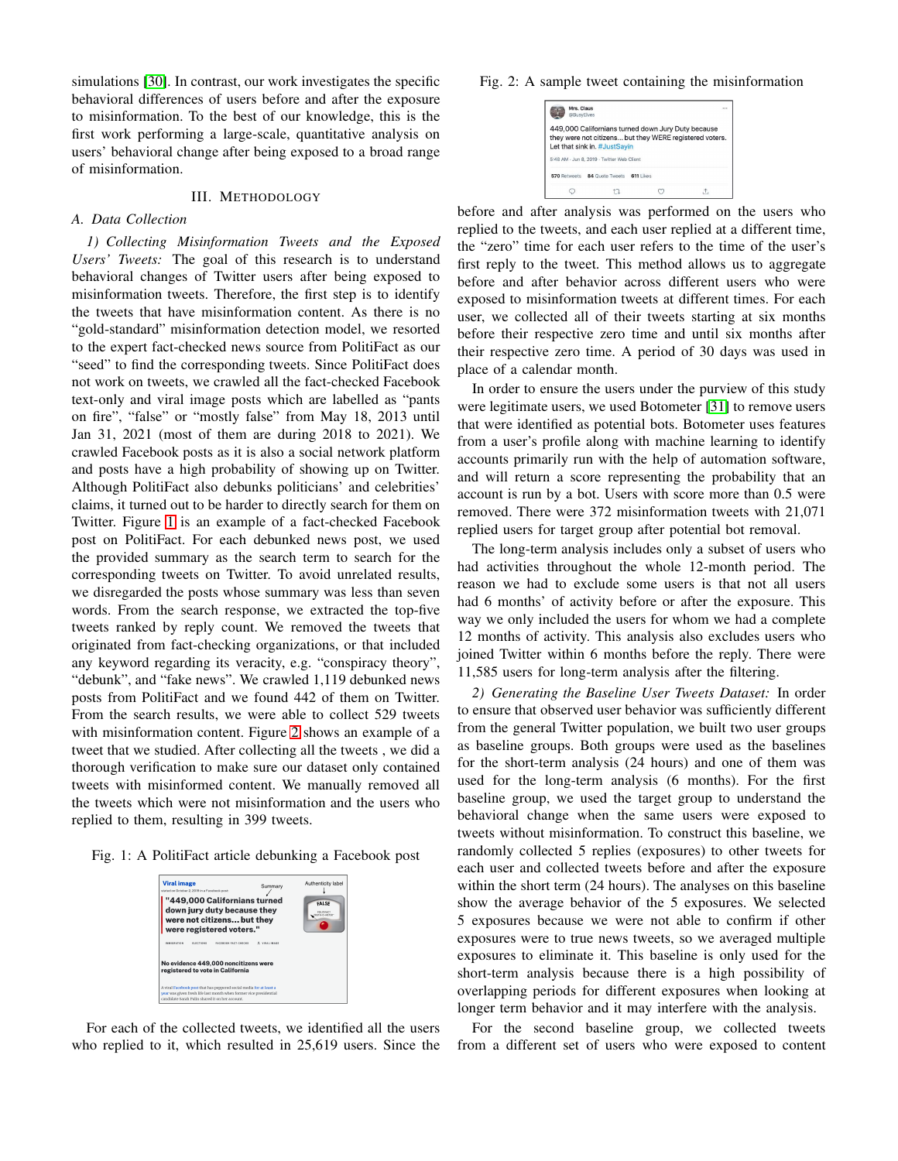simulations [\[30\]](#page-7-27). In contrast, our work investigates the specific behavioral differences of users before and after the exposure to misinformation. To the best of our knowledge, this is the first work performing a large-scale, quantitative analysis on users' behavioral change after being exposed to a broad range of misinformation.

#### III. METHODOLOGY

### *A. Data Collection*

*1) Collecting Misinformation Tweets and the Exposed Users' Tweets:* The goal of this research is to understand behavioral changes of Twitter users after being exposed to misinformation tweets. Therefore, the first step is to identify the tweets that have misinformation content. As there is no "gold-standard" misinformation detection model, we resorted to the expert fact-checked news source from PolitiFact as our "seed" to find the corresponding tweets. Since PolitiFact does not work on tweets, we crawled all the fact-checked Facebook text-only and viral image posts which are labelled as "pants on fire", "false" or "mostly false" from May 18, 2013 until Jan 31, 2021 (most of them are during 2018 to 2021). We crawled Facebook posts as it is also a social network platform and posts have a high probability of showing up on Twitter. Although PolitiFact also debunks politicians' and celebrities' claims, it turned out to be harder to directly search for them on Twitter. Figure [1](#page-2-0) is an example of a fact-checked Facebook post on PolitiFact. For each debunked news post, we used the provided summary as the search term to search for the corresponding tweets on Twitter. To avoid unrelated results, we disregarded the posts whose summary was less than seven words. From the search response, we extracted the top-five tweets ranked by reply count. We removed the tweets that originated from fact-checking organizations, or that included any keyword regarding its veracity, e.g. "conspiracy theory", "debunk", and "fake news". We crawled 1,119 debunked news posts from PolitiFact and we found 442 of them on Twitter. From the search results, we were able to collect 529 tweets with misinformation content. Figure [2](#page-2-1) shows an example of a tweet that we studied. After collecting all the tweets , we did a thorough verification to make sure our dataset only contained tweets with misinformed content. We manually removed all the tweets which were not misinformation and the users who replied to them, resulting in 399 tweets.

<span id="page-2-0"></span>Fig. 1: A PolitiFact article debunking a Facebook post

| <b>Viral image</b><br>Summary<br>stated on October 2, 2019 in a Facebook post:<br>"449,000 Californians turned                                                                              | Authenticity label<br>FALSE |
|---------------------------------------------------------------------------------------------------------------------------------------------------------------------------------------------|-----------------------------|
| down jury duty because they<br>were not citizens but they<br>were registered voters."<br><b>S. YINAL IMAGE</b><br><b>FACEBOOK FACT-CHECKS</b><br><b>INMEDIATION</b><br><b>FIREFINING</b>    | POUTHACE<br>ITH O MITCH     |
| No evidence 449,000 noncitizens were<br>registered to vote in California                                                                                                                    |                             |
| A viral Facebook post that has peppered social media for at least a<br>year was given fresh life last month when former vice presidential<br>candidate Sarah Palin shared it on her account |                             |

For each of the collected tweets, we identified all the users who replied to it, which resulted in 25,619 users. Since the <span id="page-2-1"></span>Fig. 2: A sample tweet containing the misinformation

| Mrs. Claus<br>@BusyElves |                                                                                    |             |                                                         |
|--------------------------|------------------------------------------------------------------------------------|-------------|---------------------------------------------------------|
|                          | 449,000 Californians turned down Jury Duty because<br>Let that sink in, #JustSavin |             | they were not citizens but they WERE registered voters. |
|                          | 5:48 AM - Jun 8, 2019 - Twitter Web Client                                         |             |                                                         |
| 570 Retweets             | 84 Quote Tweets                                                                    | $611$ Likes |                                                         |
|                          |                                                                                    |             |                                                         |

before and after analysis was performed on the users who replied to the tweets, and each user replied at a different time, the "zero" time for each user refers to the time of the user's first reply to the tweet. This method allows us to aggregate before and after behavior across different users who were exposed to misinformation tweets at different times. For each user, we collected all of their tweets starting at six months before their respective zero time and until six months after their respective zero time. A period of 30 days was used in place of a calendar month.

In order to ensure the users under the purview of this study were legitimate users, we used Botometer [\[31\]](#page-7-28) to remove users that were identified as potential bots. Botometer uses features from a user's profile along with machine learning to identify accounts primarily run with the help of automation software, and will return a score representing the probability that an account is run by a bot. Users with score more than 0.5 were removed. There were 372 misinformation tweets with 21,071 replied users for target group after potential bot removal.

The long-term analysis includes only a subset of users who had activities throughout the whole 12-month period. The reason we had to exclude some users is that not all users had 6 months' of activity before or after the exposure. This way we only included the users for whom we had a complete 12 months of activity. This analysis also excludes users who joined Twitter within 6 months before the reply. There were 11,585 users for long-term analysis after the filtering.

*2) Generating the Baseline User Tweets Dataset:* In order to ensure that observed user behavior was sufficiently different from the general Twitter population, we built two user groups as baseline groups. Both groups were used as the baselines for the short-term analysis (24 hours) and one of them was used for the long-term analysis (6 months). For the first baseline group, we used the target group to understand the behavioral change when the same users were exposed to tweets without misinformation. To construct this baseline, we randomly collected 5 replies (exposures) to other tweets for each user and collected tweets before and after the exposure within the short term (24 hours). The analyses on this baseline show the average behavior of the 5 exposures. We selected 5 exposures because we were not able to confirm if other exposures were to true news tweets, so we averaged multiple exposures to eliminate it. This baseline is only used for the short-term analysis because there is a high possibility of overlapping periods for different exposures when looking at longer term behavior and it may interfere with the analysis.

For the second baseline group, we collected tweets from a different set of users who were exposed to content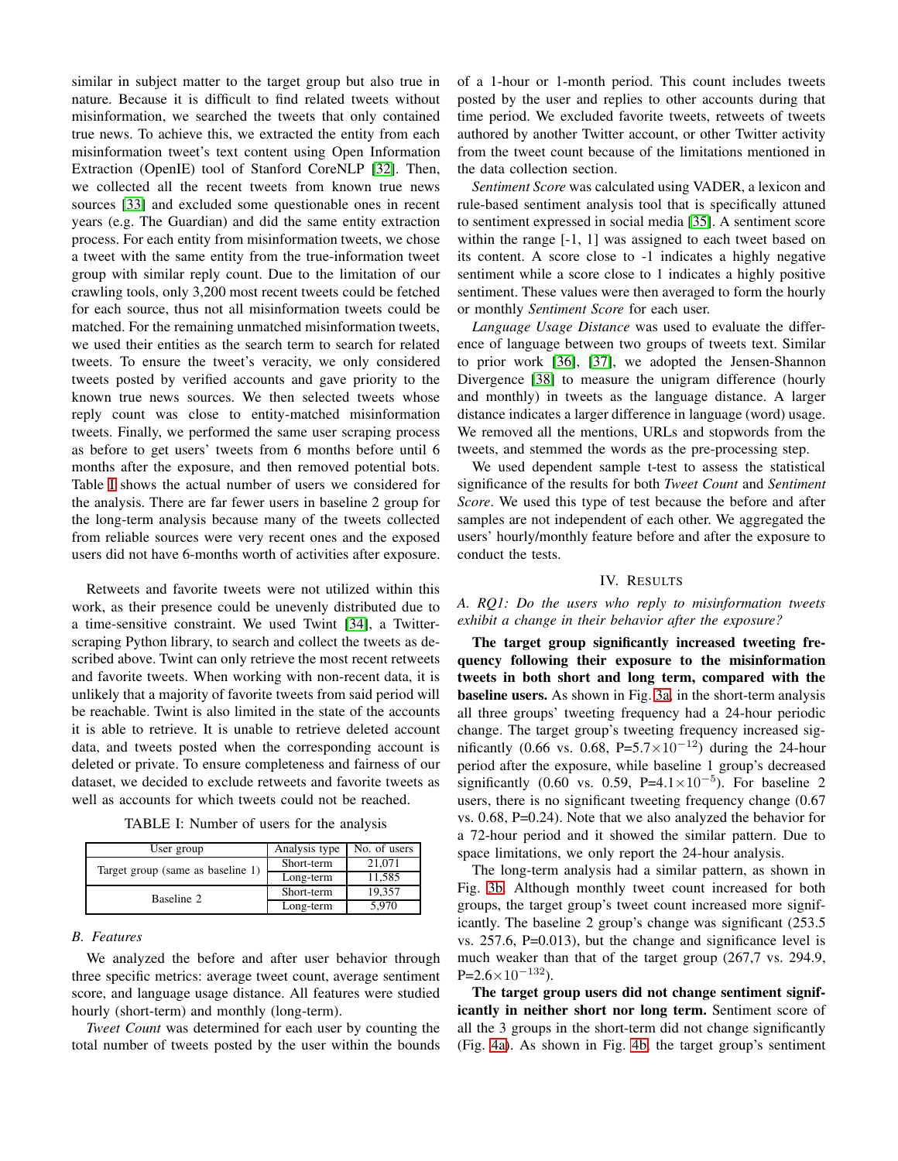similar in subject matter to the target group but also true in nature. Because it is difficult to find related tweets without misinformation, we searched the tweets that only contained true news. To achieve this, we extracted the entity from each misinformation tweet's text content using Open Information Extraction (OpenIE) tool of Stanford CoreNLP [\[32\]](#page-7-29). Then, we collected all the recent tweets from known true news sources [\[33\]](#page-7-30) and excluded some questionable ones in recent years (e.g. The Guardian) and did the same entity extraction process. For each entity from misinformation tweets, we chose a tweet with the same entity from the true-information tweet group with similar reply count. Due to the limitation of our crawling tools, only 3,200 most recent tweets could be fetched for each source, thus not all misinformation tweets could be matched. For the remaining unmatched misinformation tweets, we used their entities as the search term to search for related tweets. To ensure the tweet's veracity, we only considered tweets posted by verified accounts and gave priority to the known true news sources. We then selected tweets whose reply count was close to entity-matched misinformation tweets. Finally, we performed the same user scraping process as before to get users' tweets from 6 months before until 6 months after the exposure, and then removed potential bots. Table [I](#page-3-0) shows the actual number of users we considered for the analysis. There are far fewer users in baseline 2 group for the long-term analysis because many of the tweets collected from reliable sources were very recent ones and the exposed users did not have 6-months worth of activities after exposure.

Retweets and favorite tweets were not utilized within this work, as their presence could be unevenly distributed due to a time-sensitive constraint. We used Twint [\[34\]](#page-7-31), a Twitterscraping Python library, to search and collect the tweets as described above. Twint can only retrieve the most recent retweets and favorite tweets. When working with non-recent data, it is unlikely that a majority of favorite tweets from said period will be reachable. Twint is also limited in the state of the accounts it is able to retrieve. It is unable to retrieve deleted account data, and tweets posted when the corresponding account is deleted or private. To ensure completeness and fairness of our dataset, we decided to exclude retweets and favorite tweets as well as accounts for which tweets could not be reached.

| TABLE I: Number of users for the analysis |  |  |  |
|-------------------------------------------|--|--|--|
|-------------------------------------------|--|--|--|

<span id="page-3-0"></span>

| User group                        | Analysis type | No. of users |
|-----------------------------------|---------------|--------------|
| Target group (same as baseline 1) | Short-term    | 21,071       |
|                                   | Long-term     | 11,585       |
| Baseline 2                        | Short-term    | 19.357       |
|                                   | Long-term     | 5.970        |

## *B. Features*

We analyzed the before and after user behavior through three specific metrics: average tweet count, average sentiment score, and language usage distance. All features were studied hourly (short-term) and monthly (long-term).

*Tweet Count* was determined for each user by counting the total number of tweets posted by the user within the bounds of a 1-hour or 1-month period. This count includes tweets posted by the user and replies to other accounts during that time period. We excluded favorite tweets, retweets of tweets authored by another Twitter account, or other Twitter activity from the tweet count because of the limitations mentioned in the data collection section.

*Sentiment Score* was calculated using VADER, a lexicon and rule-based sentiment analysis tool that is specifically attuned to sentiment expressed in social media [\[35\]](#page-7-32). A sentiment score within the range [-1, 1] was assigned to each tweet based on its content. A score close to -1 indicates a highly negative sentiment while a score close to 1 indicates a highly positive sentiment. These values were then averaged to form the hourly or monthly *Sentiment Score* for each user.

*Language Usage Distance* was used to evaluate the difference of language between two groups of tweets text. Similar to prior work [\[36\]](#page-7-33), [\[37\]](#page-7-34), we adopted the Jensen-Shannon Divergence [\[38\]](#page-7-35) to measure the unigram difference (hourly and monthly) in tweets as the language distance. A larger distance indicates a larger difference in language (word) usage. We removed all the mentions, URLs and stopwords from the tweets, and stemmed the words as the pre-processing step.

We used dependent sample t-test to assess the statistical significance of the results for both *Tweet Count* and *Sentiment Score*. We used this type of test because the before and after samples are not independent of each other. We aggregated the users' hourly/monthly feature before and after the exposure to conduct the tests.

#### IV. RESULTS

*A. RQ1: Do the users who reply to misinformation tweets exhibit a change in their behavior after the exposure?*

The target group significantly increased tweeting frequency following their exposure to the misinformation tweets in both short and long term, compared with the baseline users. As shown in Fig. [3a,](#page-4-0) in the short-term analysis all three groups' tweeting frequency had a 24-hour periodic change. The target group's tweeting frequency increased significantly (0.66 vs. 0.68, P=5.7×10<sup>-12</sup>) during the 24-hour period after the exposure, while baseline 1 group's decreased significantly (0.60 vs. 0.59, P= $4.1 \times 10^{-5}$ ). For baseline 2 users, there is no significant tweeting frequency change (0.67 vs. 0.68, P=0.24). Note that we also analyzed the behavior for a 72-hour period and it showed the similar pattern. Due to space limitations, we only report the 24-hour analysis.

The long-term analysis had a similar pattern, as shown in Fig. [3b.](#page-4-0) Although monthly tweet count increased for both groups, the target group's tweet count increased more significantly. The baseline 2 group's change was significant (253.5 vs. 257.6, P=0.013), but the change and significance level is much weaker than that of the target group (267,7 vs. 294.9,  $P=2.6\times10^{-132}$ ).

The target group users did not change sentiment significantly in neither short nor long term. Sentiment score of all the 3 groups in the short-term did not change significantly (Fig. [4a\)](#page-4-1). As shown in Fig. [4b,](#page-4-1) the target group's sentiment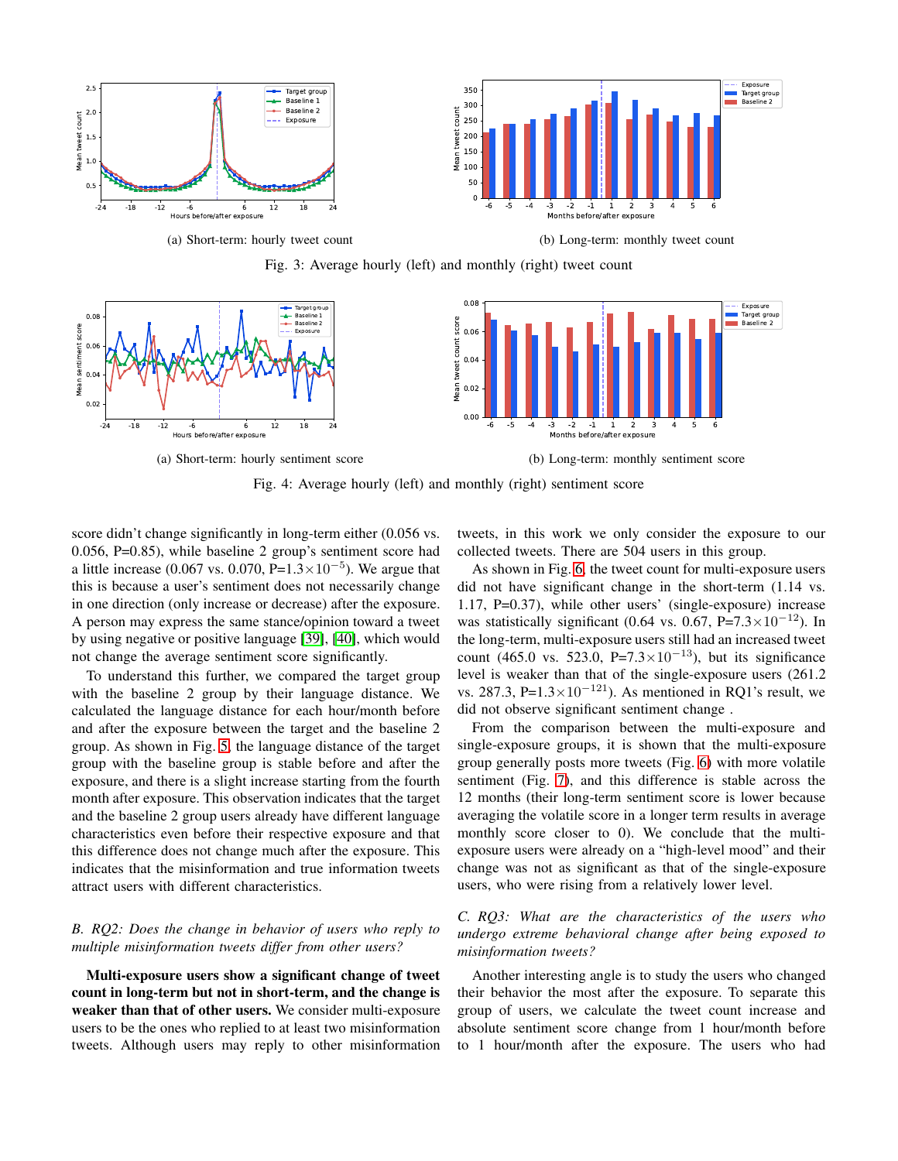<span id="page-4-0"></span>

(a) Short-term: hourly tweet count

(b) Long-term: monthly tweet count

Fig. 3: Average hourly (left) and monthly (right) tweet count

<span id="page-4-1"></span>

Fig. 4: Average hourly (left) and monthly (right) sentiment score

score didn't change significantly in long-term either  $(0.056 \text{ vs.})$ 0.056, P=0.85), while baseline 2 group's sentiment score had a little increase (0.067 vs. 0.070, P= $1.3 \times 10^{-5}$ ). We argue that this is because a user's sentiment does not necessarily change in one direction (only increase or decrease) after the exposure. A person may express the same stance/opinion toward a tweet by using negative or positive language [\[39\]](#page-7-36), [\[40\]](#page-7-37), which would not change the average sentiment score significantly.

To understand this further, we compared the target group with the baseline 2 group by their language distance. We calculated the language distance for each hour/month before and after the exposure between the target and the baseline 2 group. As shown in Fig. [5,](#page-5-0) the language distance of the target group with the baseline group is stable before and after the exposure, and there is a slight increase starting from the fourth month after exposure. This observation indicates that the target and the baseline 2 group users already have different language characteristics even before their respective exposure and that this difference does not change much after the exposure. This indicates that the misinformation and true information tweets attract users with different characteristics.

## *B. RQ2: Does the change in behavior of users who reply to multiple misinformation tweets differ from other users?*

Multi-exposure users show a significant change of tweet count in long-term but not in short-term, and the change is weaker than that of other users. We consider multi-exposure users to be the ones who replied to at least two misinformation tweets. Although users may reply to other misinformation

tweets, in this work we only consider the exposure to our collected tweets. There are 504 users in this group.

As shown in Fig. [6,](#page-6-0) the tweet count for multi-exposure users did not have significant change in the short-term (1.14 vs. 1.17, P=0.37), while other users' (single-exposure) increase was statistically significant (0.64 vs. 0.67, P=7.3 $\times$ 10<sup>-12</sup>). In the long-term, multi-exposure users still had an increased tweet count (465.0 vs. 523.0, P=7.3×10<sup>-13</sup>), but its significance level is weaker than that of the single-exposure users (261.2 vs. 287.3, P= $1.3 \times 10^{-121}$ ). As mentioned in RQ1's result, we did not observe significant sentiment change .

From the comparison between the multi-exposure and single-exposure groups, it is shown that the multi-exposure group generally posts more tweets (Fig. [6\)](#page-6-0) with more volatile sentiment (Fig. [7\)](#page-6-1), and this difference is stable across the 12 months (their long-term sentiment score is lower because averaging the volatile score in a longer term results in average monthly score closer to 0). We conclude that the multiexposure users were already on a "high-level mood" and their change was not as significant as that of the single-exposure users, who were rising from a relatively lower level.

## *C. RQ3: What are the characteristics of the users who undergo extreme behavioral change after being exposed to misinformation tweets?*

Another interesting angle is to study the users who changed their behavior the most after the exposure. To separate this group of users, we calculate the tweet count increase and absolute sentiment score change from 1 hour/month before to 1 hour/month after the exposure. The users who had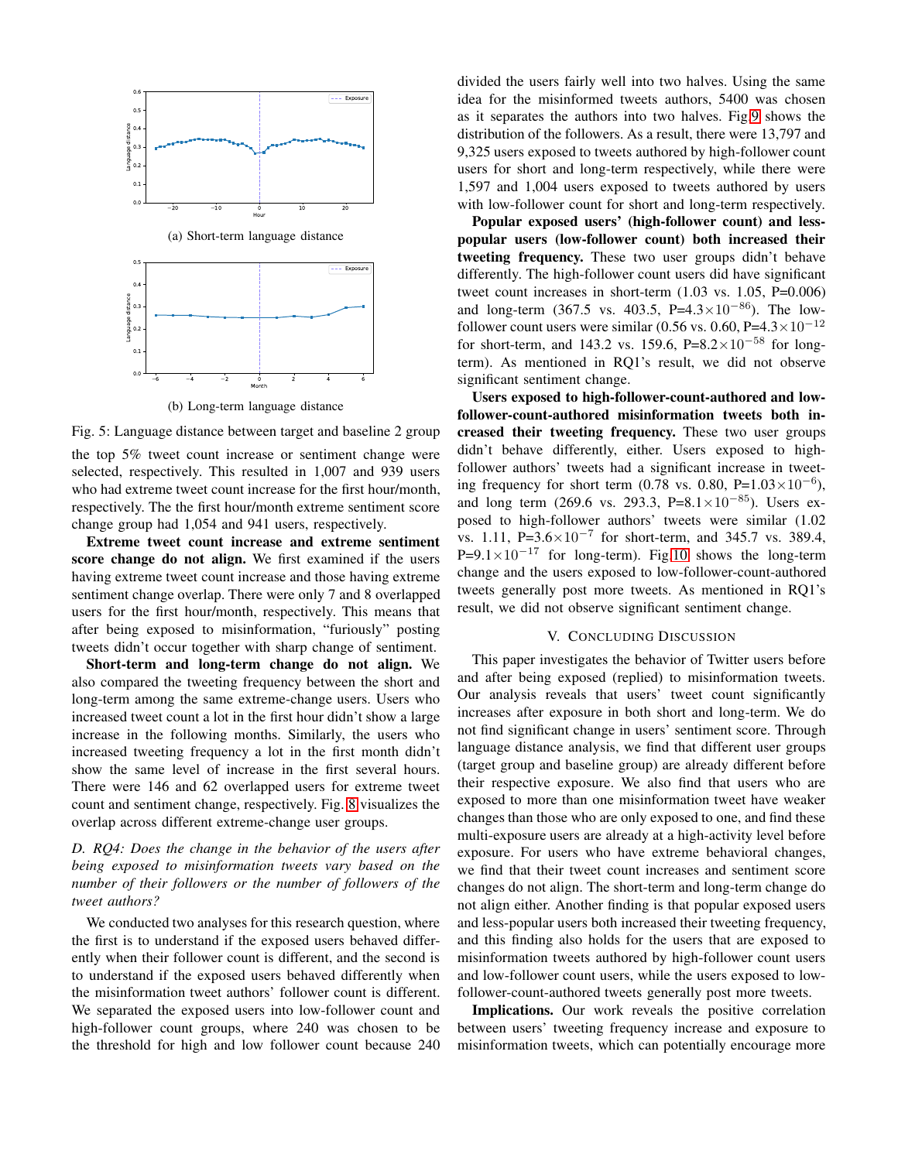<span id="page-5-0"></span>

(b) Long-term language distance

Fig. 5: Language distance between target and baseline 2 group

the top 5% tweet count increase or sentiment change were selected, respectively. This resulted in 1,007 and 939 users who had extreme tweet count increase for the first hour/month, respectively. The the first hour/month extreme sentiment score change group had 1,054 and 941 users, respectively.

Extreme tweet count increase and extreme sentiment score change do not align. We first examined if the users having extreme tweet count increase and those having extreme sentiment change overlap. There were only 7 and 8 overlapped users for the first hour/month, respectively. This means that after being exposed to misinformation, "furiously" posting tweets didn't occur together with sharp change of sentiment.

Short-term and long-term change do not align. We also compared the tweeting frequency between the short and long-term among the same extreme-change users. Users who increased tweet count a lot in the first hour didn't show a large increase in the following months. Similarly, the users who increased tweeting frequency a lot in the first month didn't show the same level of increase in the first several hours. There were 146 and 62 overlapped users for extreme tweet count and sentiment change, respectively. Fig. [8](#page-6-2) visualizes the overlap across different extreme-change user groups.

## *D. RQ4: Does the change in the behavior of the users after being exposed to misinformation tweets vary based on the number of their followers or the number of followers of the tweet authors?*

We conducted two analyses for this research question, where the first is to understand if the exposed users behaved differently when their follower count is different, and the second is to understand if the exposed users behaved differently when the misinformation tweet authors' follower count is different. We separated the exposed users into low-follower count and high-follower count groups, where 240 was chosen to be the threshold for high and low follower count because 240

divided the users fairly well into two halves. Using the same idea for the misinformed tweets authors, 5400 was chosen as it separates the authors into two halves. Fig[.9](#page-6-3) shows the distribution of the followers. As a result, there were 13,797 and 9,325 users exposed to tweets authored by high-follower count users for short and long-term respectively, while there were 1,597 and 1,004 users exposed to tweets authored by users with low-follower count for short and long-term respectively.

Popular exposed users' (high-follower count) and lesspopular users (low-follower count) both increased their tweeting frequency. These two user groups didn't behave differently. The high-follower count users did have significant tweet count increases in short-term (1.03 vs. 1.05, P=0.006) and long-term (367.5 vs. 403.5, P=4.3×10<sup>-86</sup>). The lowfollower count users were similar (0.56 vs. 0.60, P=4.3 $\times$ 10<sup>-12</sup> for short-term, and 143.2 vs. 159.6, P=8.2×10<sup>-58</sup> for longterm). As mentioned in RQ1's result, we did not observe significant sentiment change.

Users exposed to high-follower-count-authored and lowfollower-count-authored misinformation tweets both increased their tweeting frequency. These two user groups didn't behave differently, either. Users exposed to highfollower authors' tweets had a significant increase in tweeting frequency for short term (0.78 vs. 0.80, P= $1.03 \times 10^{-6}$ ), and long term (269.6 vs. 293.3, P=8.1×10<sup>-85</sup>). Users exposed to high-follower authors' tweets were similar (1.02 vs. 1.11, P= $3.6 \times 10^{-7}$  for short-term, and 345.7 vs. 389.4, P=9.1×10<sup>-17</sup> for long-term). Fig[.10](#page-6-4) shows the long-term change and the users exposed to low-follower-count-authored tweets generally post more tweets. As mentioned in RQ1's result, we did not observe significant sentiment change.

## V. CONCLUDING DISCUSSION

This paper investigates the behavior of Twitter users before and after being exposed (replied) to misinformation tweets. Our analysis reveals that users' tweet count significantly increases after exposure in both short and long-term. We do not find significant change in users' sentiment score. Through language distance analysis, we find that different user groups (target group and baseline group) are already different before their respective exposure. We also find that users who are exposed to more than one misinformation tweet have weaker changes than those who are only exposed to one, and find these multi-exposure users are already at a high-activity level before exposure. For users who have extreme behavioral changes, we find that their tweet count increases and sentiment score changes do not align. The short-term and long-term change do not align either. Another finding is that popular exposed users and less-popular users both increased their tweeting frequency, and this finding also holds for the users that are exposed to misinformation tweets authored by high-follower count users and low-follower count users, while the users exposed to lowfollower-count-authored tweets generally post more tweets.

Implications. Our work reveals the positive correlation between users' tweeting frequency increase and exposure to misinformation tweets, which can potentially encourage more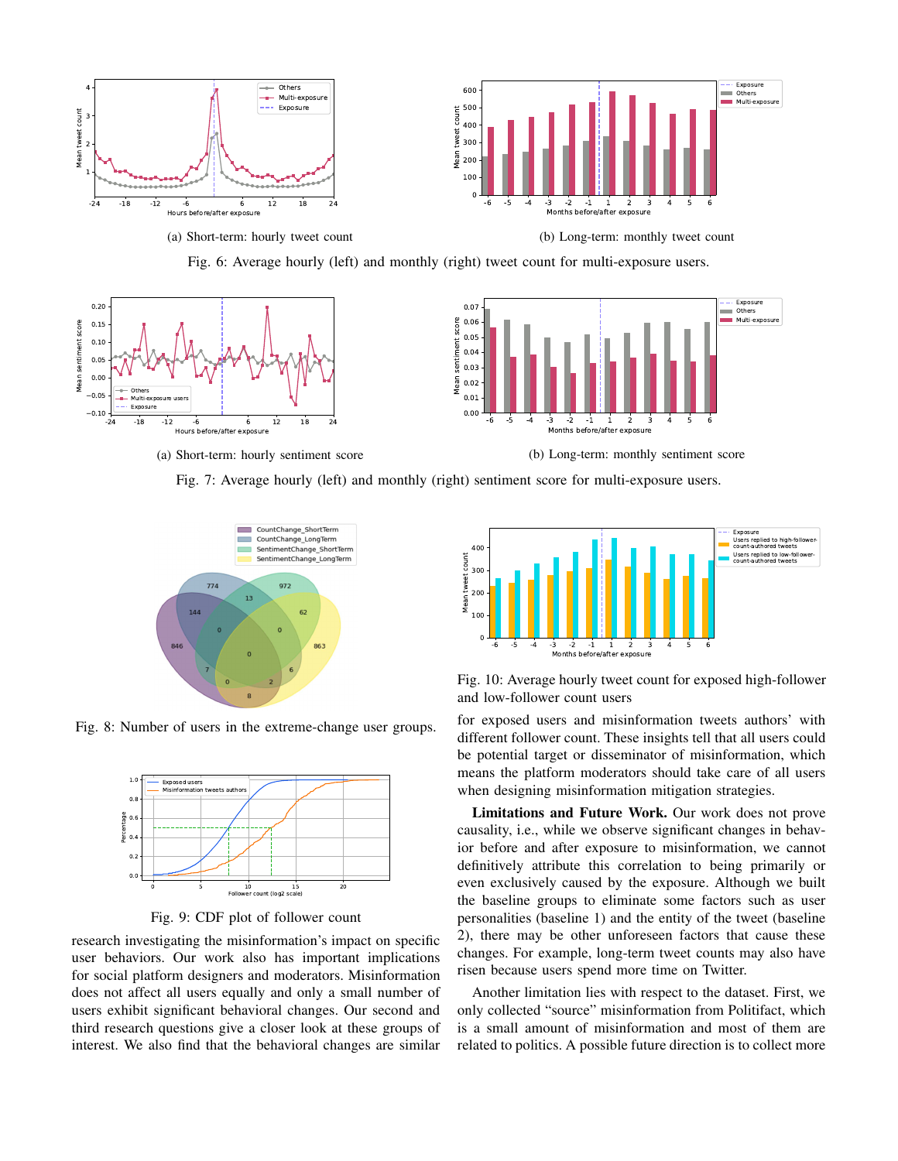<span id="page-6-0"></span>

(a) Short-term: hourly tweet count

(b) Long-term: monthly tweet count



<span id="page-6-1"></span>

Fig. 7: Average hourly (left) and monthly (right) sentiment score for multi-exposure users.

<span id="page-6-2"></span>

<span id="page-6-3"></span>Fig. 8: Number of users in the extreme-change user groups.



Fig. 9: CDF plot of follower count

research investigating the misinformation's impact on specific user behaviors. Our work also has important implications for social platform designers and moderators. Misinformation does not affect all users equally and only a small number of users exhibit significant behavioral changes. Our second and third research questions give a closer look at these groups of interest. We also find that the behavioral changes are similar

<span id="page-6-4"></span>

Fig. 10: Average hourly tweet count for exposed high-follower and low-follower count users

for exposed users and misinformation tweets authors' with different follower count. These insights tell that all users could be potential target or disseminator of misinformation, which means the platform moderators should take care of all users when designing misinformation mitigation strategies.

Limitations and Future Work. Our work does not prove causality, i.e., while we observe significant changes in behavior before and after exposure to misinformation, we cannot definitively attribute this correlation to being primarily or even exclusively caused by the exposure. Although we built the baseline groups to eliminate some factors such as user personalities (baseline 1) and the entity of the tweet (baseline 2), there may be other unforeseen factors that cause these changes. For example, long-term tweet counts may also have risen because users spend more time on Twitter.

Another limitation lies with respect to the dataset. First, we only collected "source" misinformation from Politifact, which is a small amount of misinformation and most of them are related to politics. A possible future direction is to collect more